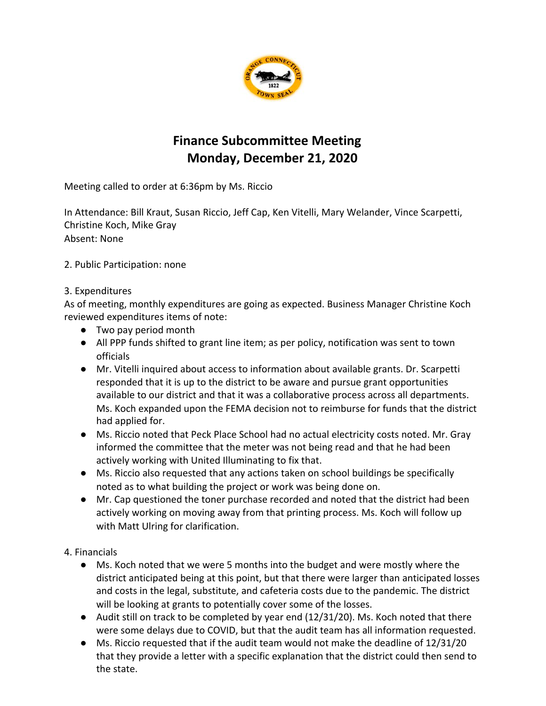

## **Finance Subcommittee Meeting Monday, December 21, 2020**

Meeting called to order at 6:36pm by Ms. Riccio

In Attendance: Bill Kraut, Susan Riccio, Jeff Cap, Ken Vitelli, Mary Welander, Vince Scarpetti, Christine Koch, Mike Gray Absent: None

2. Public Participation: none

## 3. Expenditures

As of meeting, monthly expenditures are going as expected. Business Manager Christine Koch reviewed expenditures items of note:

- Two pay period month
- All PPP funds shifted to grant line item; as per policy, notification was sent to town officials
- Mr. Vitelli inquired about access to information about available grants. Dr. Scarpetti responded that it is up to the district to be aware and pursue grant opportunities available to our district and that it was a collaborative process across all departments. Ms. Koch expanded upon the FEMA decision not to reimburse for funds that the district had applied for.
- Ms. Riccio noted that Peck Place School had no actual electricity costs noted. Mr. Gray informed the committee that the meter was not being read and that he had been actively working with United Illuminating to fix that.
- Ms. Riccio also requested that any actions taken on school buildings be specifically noted as to what building the project or work was being done on.
- Mr. Cap questioned the toner purchase recorded and noted that the district had been actively working on moving away from that printing process. Ms. Koch will follow up with Matt Ulring for clarification.

4. Financials

- Ms. Koch noted that we were 5 months into the budget and were mostly where the district anticipated being at this point, but that there were larger than anticipated losses and costs in the legal, substitute, and cafeteria costs due to the pandemic. The district will be looking at grants to potentially cover some of the losses.
- Audit still on track to be completed by year end (12/31/20). Ms. Koch noted that there were some delays due to COVID, but that the audit team has all information requested.
- Ms. Riccio requested that if the audit team would not make the deadline of 12/31/20 that they provide a letter with a specific explanation that the district could then send to the state.